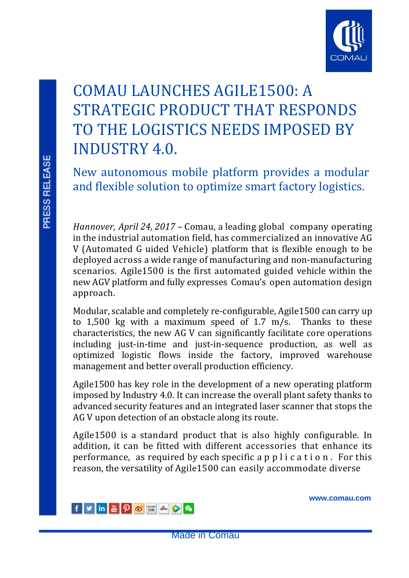

# COMAU LAUNCHES AGILE1500: A STRATEGIC PRODUCT THAT RESPONDS TO THE LOGISTICS NEEDS IMPOSED BY INDUSTRY 4.0.

New autonomous mobile platform provides a modular and flexible solution to optimize smart factory logistics.

*Hannover, April 24, 2017 –* Comau, a leading global company operating in the industrial automation field, has commercialized an innovative AG V (Automated G uided Vehicle) platform that is flexible enough to be deployed across a wide range of manufacturing and non-manufacturing scenarios. Agile1500 is the first automated guided vehicle within the new AGV platform and fully expresses Comau's open automation design approach.

Modular, scalable and completely re-configurable, Agile1500 can carry up to 1,500 kg with a maximum speed of 1.7 m/s. Thanks to these characteristics, the new AG V can significantly facilitate core operations including just-in-time and just-in-sequence production, as well as optimized logistic flows inside the factory, improved warehouse management and better overall production efficiency.

Agile1500 has key role in the development of a new operating platform imposed by Industry 4.0. It can increase the overall plant safety thanks to advanced security features and an integrated laser scanner that stops the AG V upon detection of an obstacle along its route.

Agile1500 is a standard product that is also highly configurable. In addition, it can be fitted with different accessories that enhance its performance, as required by each specific a p p l i c a t i o n . For this reason, the versatility of Agile1500 can easily accommodate diverse



**[www.comau.com](http://www.comau.com/EN)**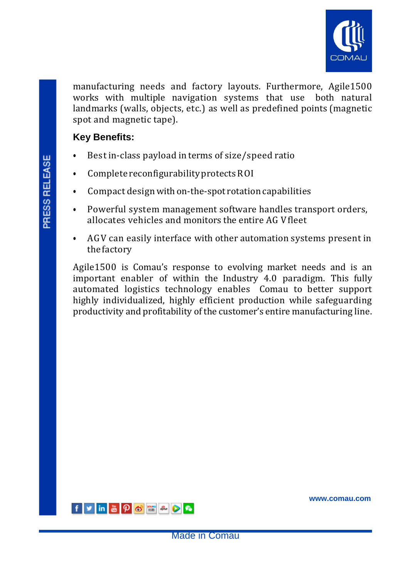

manufacturing needs and factory layouts. Furthermore, Agile1500 works with multiple navigation systems that use both natural landmarks (walls, objects, etc.) as well as predefined points (magnetic spot and magnetic tape).

# **Key Benefits:**

- Best in-class payload in terms of size/speed ratio
- Complete reconfigurability protects ROI
- Compact design with on-the-spot rotation capabilities
- Powerful system management software handles transport orders, allocates vehicles and monitors the entire AG Vfleet
- AGV can easily interface with other automation systems present in the factory

Agile1500 is Comau's response to evolving market needs and is an important enabler of within the Industry 4.0 paradigm. This fully automated logistics technology enables Comau to better support highly individualized, highly efficient production while safeguarding productivity and profitability of the customer's entire manufacturing line.



**[www.comau.com](http://www.comau.com/EN)**